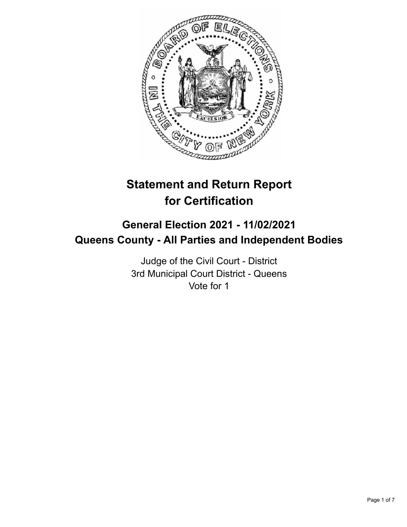

# **Statement and Return Report for Certification**

## **General Election 2021 - 11/02/2021 Queens County - All Parties and Independent Bodies**

Judge of the Civil Court - District 3rd Municipal Court District - Queens Vote for 1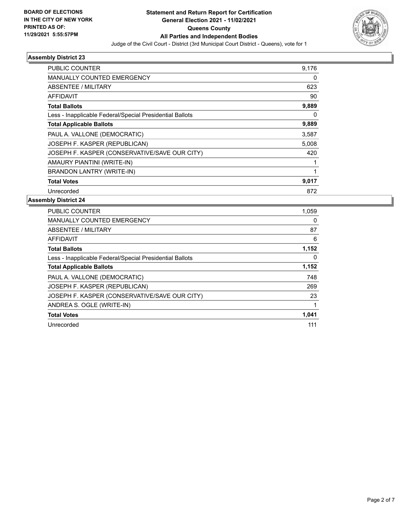

| <b>PUBLIC COUNTER</b>                                    | 9,176 |
|----------------------------------------------------------|-------|
| <b>MANUALLY COUNTED EMERGENCY</b>                        | 0     |
| ABSENTEE / MILITARY                                      | 623   |
| AFFIDAVIT                                                | 90    |
| <b>Total Ballots</b>                                     | 9,889 |
| Less - Inapplicable Federal/Special Presidential Ballots | 0     |
| <b>Total Applicable Ballots</b>                          | 9,889 |
| PAUL A. VALLONE (DEMOCRATIC)                             | 3,587 |
| JOSEPH F. KASPER (REPUBLICAN)                            | 5,008 |
| JOSEPH F. KASPER (CONSERVATIVE/SAVE OUR CITY)            | 420   |
| AMAURY PIANTINI (WRITE-IN)                               |       |
| <b>BRANDON LANTRY (WRITE-IN)</b>                         | 1     |
| <b>Total Votes</b>                                       | 9,017 |
| Unrecorded                                               | 872   |

| PUBLIC COUNTER                                           | 1,059 |
|----------------------------------------------------------|-------|
| <b>MANUALLY COUNTED EMERGENCY</b>                        | 0     |
| ABSENTEE / MILITARY                                      | 87    |
| AFFIDAVIT                                                | 6     |
| <b>Total Ballots</b>                                     | 1,152 |
| Less - Inapplicable Federal/Special Presidential Ballots | 0     |
| <b>Total Applicable Ballots</b>                          | 1,152 |
| PAUL A. VALLONE (DEMOCRATIC)                             | 748   |
| JOSEPH F. KASPER (REPUBLICAN)                            | 269   |
| JOSEPH F. KASPER (CONSERVATIVE/SAVE OUR CITY)            | 23    |
| ANDREA S. OGLE (WRITE-IN)                                |       |
| <b>Total Votes</b>                                       | 1,041 |
| Unrecorded                                               | 111   |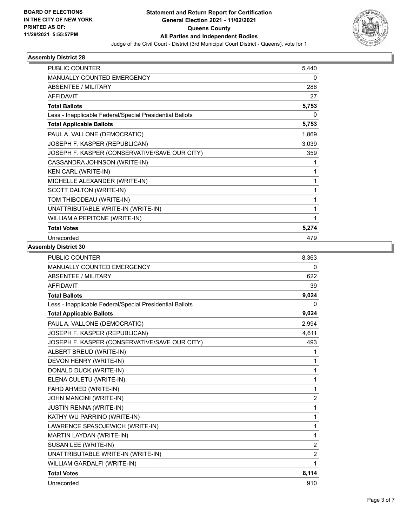

| <b>PUBLIC COUNTER</b>                                    | 5,440 |
|----------------------------------------------------------|-------|
| <b>MANUALLY COUNTED EMERGENCY</b>                        | 0     |
| <b>ABSENTEE / MILITARY</b>                               | 286   |
| <b>AFFIDAVIT</b>                                         | 27    |
| <b>Total Ballots</b>                                     | 5,753 |
| Less - Inapplicable Federal/Special Presidential Ballots | 0     |
| <b>Total Applicable Ballots</b>                          | 5,753 |
| PAUL A. VALLONE (DEMOCRATIC)                             | 1,869 |
| JOSEPH F. KASPER (REPUBLICAN)                            | 3,039 |
| JOSEPH F. KASPER (CONSERVATIVE/SAVE OUR CITY)            | 359   |
| CASSANDRA JOHNSON (WRITE-IN)                             | 1     |
| <b>KEN CARL (WRITE-IN)</b>                               | 1     |
| MICHELLE ALEXANDER (WRITE-IN)                            | 1     |
| SCOTT DALTON (WRITE-IN)                                  | 1     |
| TOM THIBODEAU (WRITE-IN)                                 | 1     |
| UNATTRIBUTABLE WRITE-IN (WRITE-IN)                       | 1     |
| WILLIAM A PEPITONE (WRITE-IN)                            |       |
| <b>Total Votes</b>                                       | 5,274 |
| Unrecorded                                               | 479   |

| <b>PUBLIC COUNTER</b>                                    | 8,363          |
|----------------------------------------------------------|----------------|
| MANUALLY COUNTED EMERGENCY                               | 0              |
| <b>ABSENTEE / MILITARY</b>                               | 622            |
| <b>AFFIDAVIT</b>                                         | 39             |
| <b>Total Ballots</b>                                     | 9,024          |
| Less - Inapplicable Federal/Special Presidential Ballots | 0              |
| <b>Total Applicable Ballots</b>                          | 9,024          |
| PAUL A. VALLONE (DEMOCRATIC)                             | 2,994          |
| JOSEPH F. KASPER (REPUBLICAN)                            | 4,611          |
| JOSEPH F. KASPER (CONSERVATIVE/SAVE OUR CITY)            | 493            |
| ALBERT BREUD (WRITE-IN)                                  | 1              |
| DEVON HENRY (WRITE-IN)                                   | 1              |
| DONALD DUCK (WRITE-IN)                                   | 1              |
| ELENA CULETU (WRITE-IN)                                  | 1              |
| FAHD AHMED (WRITE-IN)                                    | 1              |
| JOHN MANCINI (WRITE-IN)                                  | $\overline{c}$ |
| JUSTIN RENNA (WRITE-IN)                                  | 1              |
| KATHY WU PARRINO (WRITE-IN)                              | $\mathbf{1}$   |
| LAWRENCE SPASOJEWICH (WRITE-IN)                          | 1              |
| MARTIN LAYDAN (WRITE-IN)                                 | $\mathbf{1}$   |
| SUSAN LEE (WRITE-IN)                                     | $\overline{2}$ |
| UNATTRIBUTABLE WRITE-IN (WRITE-IN)                       | $\overline{2}$ |
| WILLIAM GARDALFI (WRITE-IN)                              | 1              |
| <b>Total Votes</b>                                       | 8,114          |
| Unrecorded                                               | 910            |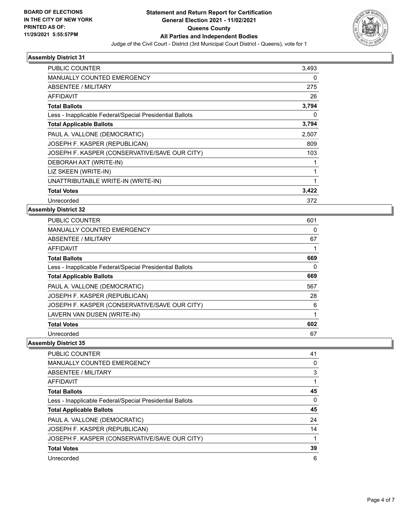

| <b>PUBLIC COUNTER</b>                                    | 3.493 |
|----------------------------------------------------------|-------|
| <b>MANUALLY COUNTED EMERGENCY</b>                        | 0     |
| ABSENTEE / MILITARY                                      | 275   |
| AFFIDAVIT                                                | 26    |
| <b>Total Ballots</b>                                     | 3,794 |
| Less - Inapplicable Federal/Special Presidential Ballots | 0     |
| <b>Total Applicable Ballots</b>                          | 3,794 |
| PAUL A. VALLONE (DEMOCRATIC)                             | 2,507 |
| JOSEPH F. KASPER (REPUBLICAN)                            | 809   |
| JOSEPH F. KASPER (CONSERVATIVE/SAVE OUR CITY)            | 103   |
| DEBORAH AXT (WRITE-IN)                                   |       |
| LIZ SKEEN (WRITE-IN)                                     | 1     |
| UNATTRIBUTABLE WRITE-IN (WRITE-IN)                       | 1     |
| <b>Total Votes</b>                                       | 3,422 |
| Unrecorded                                               | 372   |

### **Assembly District 32**

| PUBLIC COUNTER                                           | 601 |
|----------------------------------------------------------|-----|
| <b>MANUALLY COUNTED EMERGENCY</b>                        | 0   |
| ABSENTEE / MILITARY                                      | 67  |
| <b>AFFIDAVIT</b>                                         |     |
| <b>Total Ballots</b>                                     | 669 |
| Less - Inapplicable Federal/Special Presidential Ballots | 0   |
| <b>Total Applicable Ballots</b>                          | 669 |
| PAUL A. VALLONE (DEMOCRATIC)                             | 567 |
| JOSEPH F. KASPER (REPUBLICAN)                            | 28  |
| JOSEPH F. KASPER (CONSERVATIVE/SAVE OUR CITY)            | 6   |
| LAVERN VAN DUSEN (WRITE-IN)                              |     |
| <b>Total Votes</b>                                       | 602 |
| Unrecorded                                               | 67  |

| <b>PUBLIC COUNTER</b>                                    | 41       |
|----------------------------------------------------------|----------|
| <b>MANUALLY COUNTED EMERGENCY</b>                        | 0        |
| ABSENTEE / MILITARY                                      | 3        |
| AFFIDAVIT                                                |          |
| <b>Total Ballots</b>                                     | 45       |
| Less - Inapplicable Federal/Special Presidential Ballots | $\Omega$ |
| <b>Total Applicable Ballots</b>                          | 45       |
| PAUL A. VALLONE (DEMOCRATIC)                             | 24       |
| JOSEPH F. KASPER (REPUBLICAN)                            | 14       |
| JOSEPH F. KASPER (CONSERVATIVE/SAVE OUR CITY)            |          |
| <b>Total Votes</b>                                       | 39       |
| Unrecorded                                               | 6        |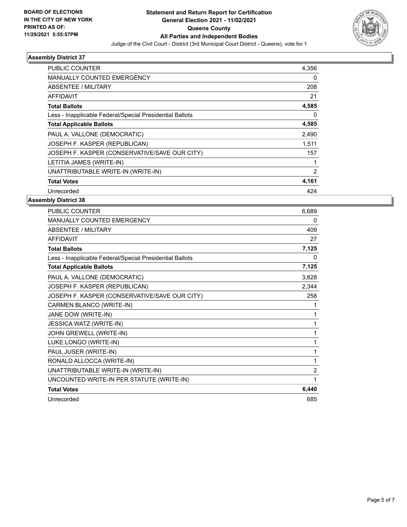

| PUBLIC COUNTER                                           | 4.356          |
|----------------------------------------------------------|----------------|
| <b>MANUALLY COUNTED EMERGENCY</b>                        | 0              |
| ABSENTEE / MILITARY                                      | 208            |
| AFFIDAVIT                                                | 21             |
| <b>Total Ballots</b>                                     | 4,585          |
| Less - Inapplicable Federal/Special Presidential Ballots | 0              |
| <b>Total Applicable Ballots</b>                          | 4,585          |
| PAUL A. VALLONE (DEMOCRATIC)                             | 2,490          |
| JOSEPH F. KASPER (REPUBLICAN)                            | 1.511          |
| JOSEPH F. KASPER (CONSERVATIVE/SAVE OUR CITY)            | 157            |
| LETITIA JAMES (WRITE-IN)                                 | 1              |
| UNATTRIBUTABLE WRITE-IN (WRITE-IN)                       | $\overline{2}$ |
| <b>Total Votes</b>                                       | 4,161          |
| Unrecorded                                               | 424            |
|                                                          |                |

| PUBLIC COUNTER                                           | 6,689          |
|----------------------------------------------------------|----------------|
| <b>MANUALLY COUNTED EMERGENCY</b>                        | 0              |
| <b>ABSENTEE / MILITARY</b>                               | 409            |
| <b>AFFIDAVIT</b>                                         | 27             |
| <b>Total Ballots</b>                                     | 7,125          |
| Less - Inapplicable Federal/Special Presidential Ballots | 0              |
| <b>Total Applicable Ballots</b>                          | 7,125          |
| PAUL A. VALLONE (DEMOCRATIC)                             | 3,828          |
| JOSEPH F. KASPER (REPUBLICAN)                            | 2,344          |
| JOSEPH F. KASPER (CONSERVATIVE/SAVE OUR CITY)            | 258            |
| CARMEN BLANCO (WRITE-IN)                                 |                |
| JANE DOW (WRITE-IN)                                      |                |
| JESSICA WATZ (WRITE-IN)                                  | 1              |
| JOHN GREWELL (WRITE-IN)                                  | 1              |
| LUKE LONGO (WRITE-IN)                                    | 1              |
| PAUL JUSER (WRITE-IN)                                    | 1              |
| RONALD ALLOCCA (WRITE-IN)                                | 1              |
| UNATTRIBUTABLE WRITE-IN (WRITE-IN)                       | $\overline{2}$ |
| UNCOUNTED WRITE-IN PER STATUTE (WRITE-IN)                | 1              |
| <b>Total Votes</b>                                       | 6,440          |
| Unrecorded                                               | 685            |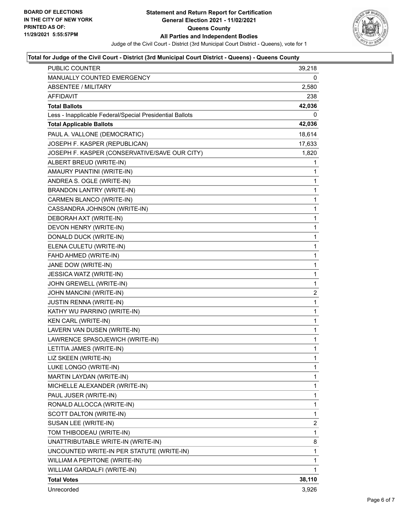

#### **Total for Judge of the Civil Court - District (3rd Municipal Court District - Queens) - Queens County**

| PUBLIC COUNTER                                           | 39,218       |
|----------------------------------------------------------|--------------|
| MANUALLY COUNTED EMERGENCY                               | 0            |
| <b>ABSENTEE / MILITARY</b>                               | 2,580        |
| AFFIDAVIT                                                | 238          |
| <b>Total Ballots</b>                                     | 42,036       |
| Less - Inapplicable Federal/Special Presidential Ballots | 0            |
| <b>Total Applicable Ballots</b>                          | 42,036       |
| PAUL A. VALLONE (DEMOCRATIC)                             | 18,614       |
| JOSEPH F. KASPER (REPUBLICAN)                            | 17,633       |
| JOSEPH F. KASPER (CONSERVATIVE/SAVE OUR CITY)            | 1,820        |
| ALBERT BREUD (WRITE-IN)                                  | 1            |
| AMAURY PIANTINI (WRITE-IN)                               | 1            |
| ANDREA S. OGLE (WRITE-IN)                                | 1            |
| <b>BRANDON LANTRY (WRITE-IN)</b>                         | 1            |
| CARMEN BLANCO (WRITE-IN)                                 | 1            |
| CASSANDRA JOHNSON (WRITE-IN)                             | $\mathbf{1}$ |
| DEBORAH AXT (WRITE-IN)                                   | 1            |
| DEVON HENRY (WRITE-IN)                                   | 1            |
| DONALD DUCK (WRITE-IN)                                   | $\mathbf{1}$ |
| ELENA CULETU (WRITE-IN)                                  | 1            |
| FAHD AHMED (WRITE-IN)                                    | 1            |
| JANE DOW (WRITE-IN)                                      | $\mathbf{1}$ |
| JESSICA WATZ (WRITE-IN)                                  | 1            |
| JOHN GREWELL (WRITE-IN)                                  | 1            |
| JOHN MANCINI (WRITE-IN)                                  | 2            |
| <b>JUSTIN RENNA (WRITE-IN)</b>                           | 1            |
| KATHY WU PARRINO (WRITE-IN)                              | 1            |
| KEN CARL (WRITE-IN)                                      | $\mathbf{1}$ |
| LAVERN VAN DUSEN (WRITE-IN)                              | 1            |
| LAWRENCE SPASOJEWICH (WRITE-IN)                          | 1            |
| LETITIA JAMES (WRITE-IN)                                 | $\mathbf{1}$ |
| LIZ SKEEN (WRITE-IN)                                     | $\mathbf{1}$ |
| LUKE LONGO (WRITE-IN)                                    | 1            |
| MARTIN LAYDAN (WRITE-IN)                                 | 1            |
| MICHELLE ALEXANDER (WRITE-IN)                            | 1            |
| PAUL JUSER (WRITE-IN)                                    | 1            |
| RONALD ALLOCCA (WRITE-IN)                                | 1            |
| SCOTT DALTON (WRITE-IN)                                  | 1            |
| SUSAN LEE (WRITE-IN)                                     | 2            |
| TOM THIBODEAU (WRITE-IN)                                 | 1            |
| UNATTRIBUTABLE WRITE-IN (WRITE-IN)                       | 8            |
| UNCOUNTED WRITE-IN PER STATUTE (WRITE-IN)                | 1            |
| WILLIAM A PEPITONE (WRITE-IN)                            | 1            |
| WILLIAM GARDALFI (WRITE-IN)                              | 1            |
| <b>Total Votes</b>                                       | 38,110       |
| Unrecorded                                               | 3,926        |